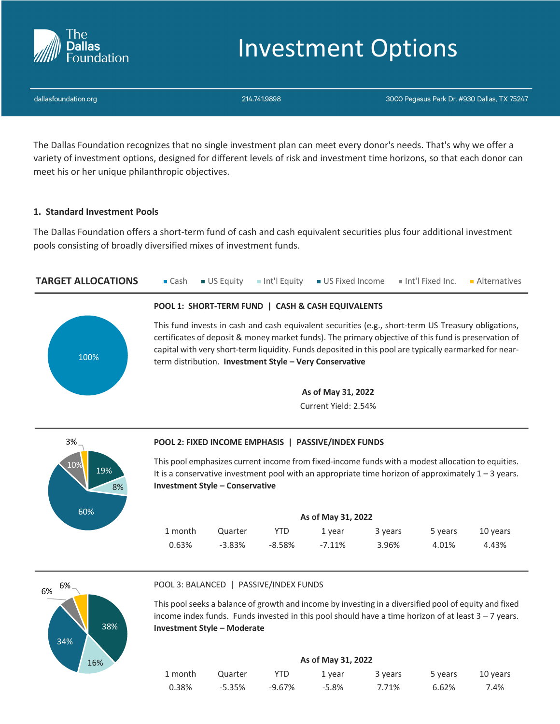

# Investment Options

dallasfoundation.org

214.741.9898

3000 Pegasus Park Dr. #930 Dallas, TX 75247

The Dallas Foundation recognizes that no single investment plan can meet every donor's needs. That's why we offer a variety of investment options, designed for different levels of risk and investment time horizons, so that each donor can meet his or her unique philanthropic objectives.

# **1. Standard Investment Pools**

The Dallas Foundation offers a short-term fund of cash and cash equivalent securities plus four additional investment pools consisting of broadly diversified mixes of investment funds.

**TARGET ALLOCATIONS Cash JUS Equity** Int'l Equity **JUS Fixed Income** Int'l Fixed Inc. Alternatives



## **POOL 1: SHORT-TERM FUND | CASH & CASH EQUIVALENTS**

This fund invests in cash and cash equivalent securities (e.g., short-term US Treasury obligations, certificates of deposit & money market funds). The primary objective of this fund is preservation of capital with very short-term liquidity. Funds deposited in this pool are typically earmarked for nearterm distribution. **Investment Style – Very Conservative**

> **As of May 31, 2022** Current Yield: 2.54%



## **POOL 2: FIXED INCOME EMPHASIS | PASSIVE/INDEX FUNDS**

This pool emphasizes current income from fixed-income funds with a modest allocation to equities. It is a conservative investment pool with an appropriate time horizon of approximately  $1 - 3$  years. **Investment Style – Conservative**

| As of May 31, 2022 |           |           |        |         |         |          |  |
|--------------------|-----------|-----------|--------|---------|---------|----------|--|
| 1 month            | Quarter   | YTD       | 1 vear | 3 years | 5 years | 10 years |  |
| 0.63%              | $-3.83\%$ | $-8.58\%$ | -7.11% | 3.96%   | 4.01%   | 4.43%    |  |



## POOL 3: BALANCED | PASSIVE/INDEX FUNDS

This pool seeks a balance of growth and income by investing in a diversified pool of equity and fixed income index funds. Funds invested in this pool should have a time horizon of at least  $3 - 7$  years. **Investment Style – Moderate**

| As of May 31, 2022 |         |           |        |         |         |          |  |
|--------------------|---------|-----------|--------|---------|---------|----------|--|
| 1 month            | Quarter | YTD       | 1 vear | 3 years | 5 years | 10 years |  |
| 0.38%              | -5.35%  | $-9.67\%$ | -5.8%  | 7.71%   | 6.62%   | 7.4%     |  |